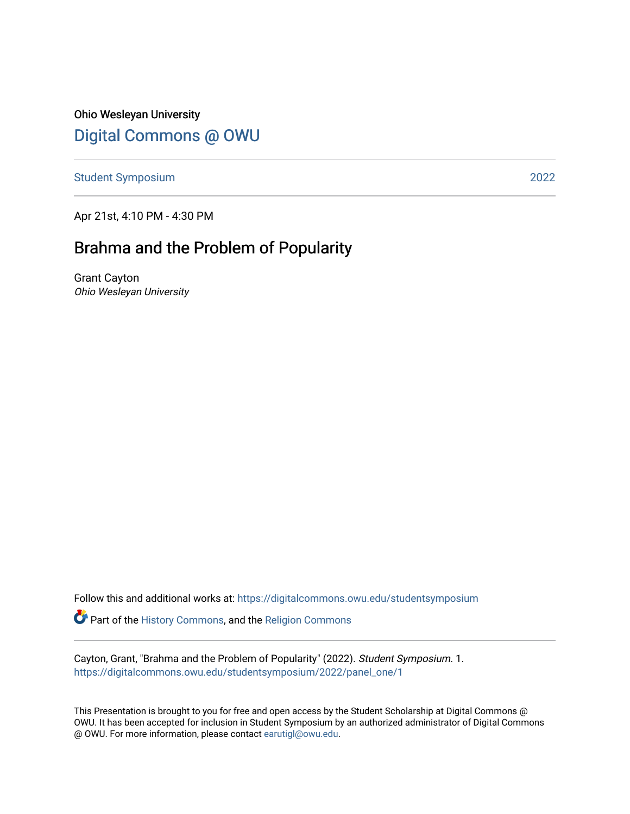Ohio Wesleyan University [Digital Commons @ OWU](https://digitalcommons.owu.edu/) 

[Student Symposium](https://digitalcommons.owu.edu/studentsymposium) [2022](https://digitalcommons.owu.edu/studentsymposium/2022) 

Apr 21st, 4:10 PM - 4:30 PM

#### Brahma and the Problem of Popularity

Grant Cayton Ohio Wesleyan University

Follow this and additional works at: [https://digitalcommons.owu.edu/studentsymposium](https://digitalcommons.owu.edu/studentsymposium?utm_source=digitalcommons.owu.edu%2Fstudentsymposium%2F2022%2Fpanel_one%2F1&utm_medium=PDF&utm_campaign=PDFCoverPages)

Part of the [History Commons,](http://network.bepress.com/hgg/discipline/489?utm_source=digitalcommons.owu.edu%2Fstudentsymposium%2F2022%2Fpanel_one%2F1&utm_medium=PDF&utm_campaign=PDFCoverPages) and the [Religion Commons](http://network.bepress.com/hgg/discipline/538?utm_source=digitalcommons.owu.edu%2Fstudentsymposium%2F2022%2Fpanel_one%2F1&utm_medium=PDF&utm_campaign=PDFCoverPages) 

Cayton, Grant, "Brahma and the Problem of Popularity" (2022). Student Symposium. 1. [https://digitalcommons.owu.edu/studentsymposium/2022/panel\\_one/1](https://digitalcommons.owu.edu/studentsymposium/2022/panel_one/1?utm_source=digitalcommons.owu.edu%2Fstudentsymposium%2F2022%2Fpanel_one%2F1&utm_medium=PDF&utm_campaign=PDFCoverPages) 

This Presentation is brought to you for free and open access by the Student Scholarship at Digital Commons @ OWU. It has been accepted for inclusion in Student Symposium by an authorized administrator of Digital Commons @ OWU. For more information, please contact [earutigl@owu.edu.](mailto:earutigl@owu.edu)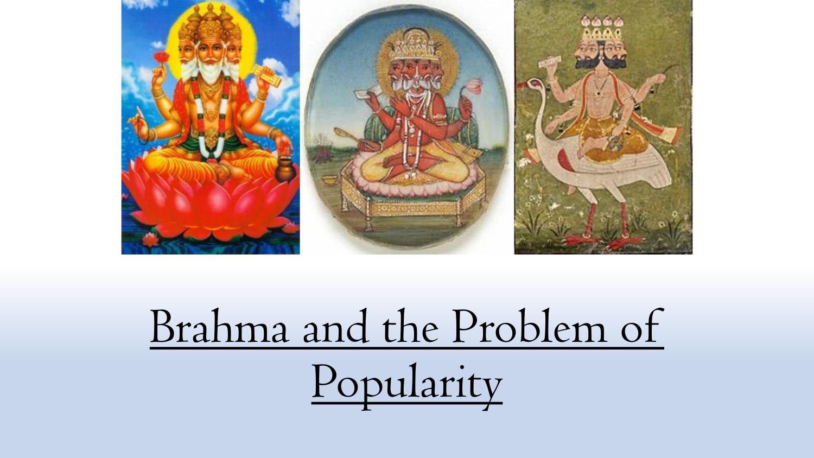

Brahma and the Problem of Popularity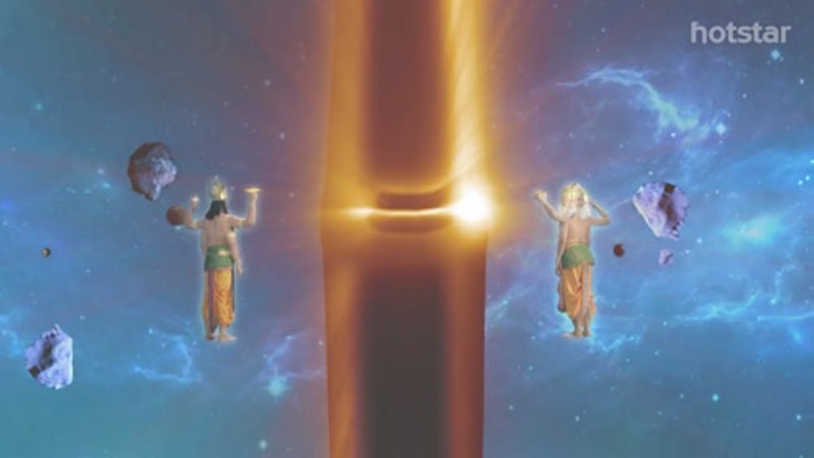

 $\hat{\theta}$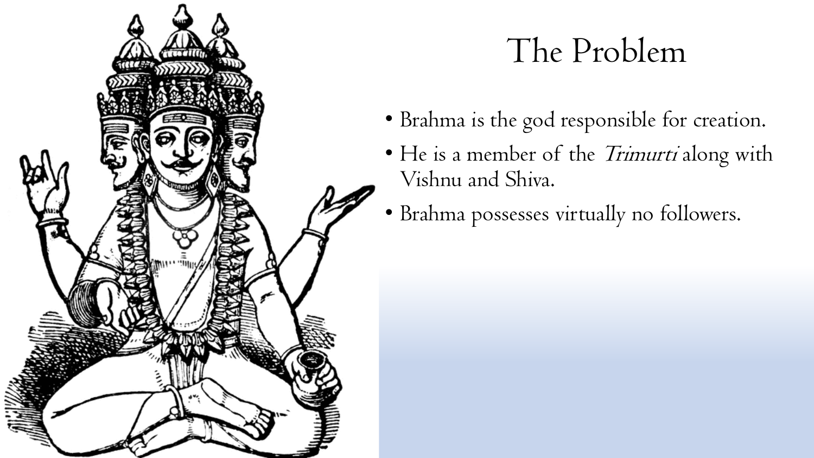

## The Problem

- Brahma is the god responsible for creation.
- He is a member of the Trimurti along with Vishnu and Shiva.
- Brahma possesses virtually no followers.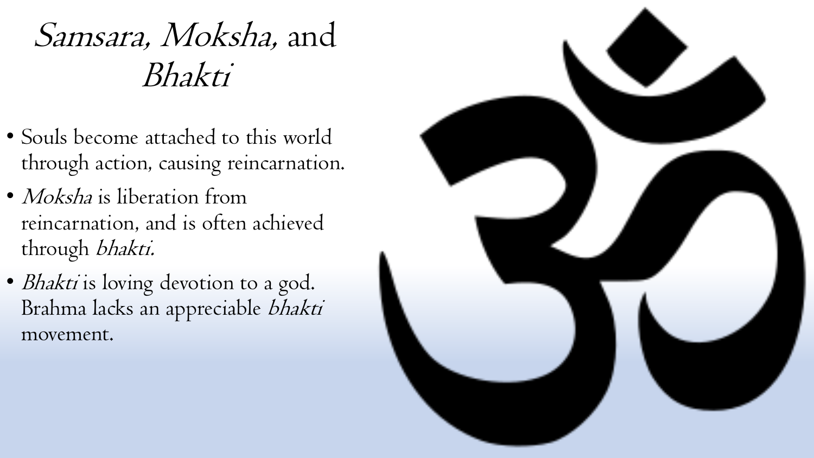## Samsara, Moksha, and Bhakti

- Souls become attached to this world through action, causing reincarnation.
- *Moksha* is liberation from reincarnation, and is often achieved through bhakti.
- · Bhakti is loving devotion to a god. Brahma lacks an appreciable bhakti movement.

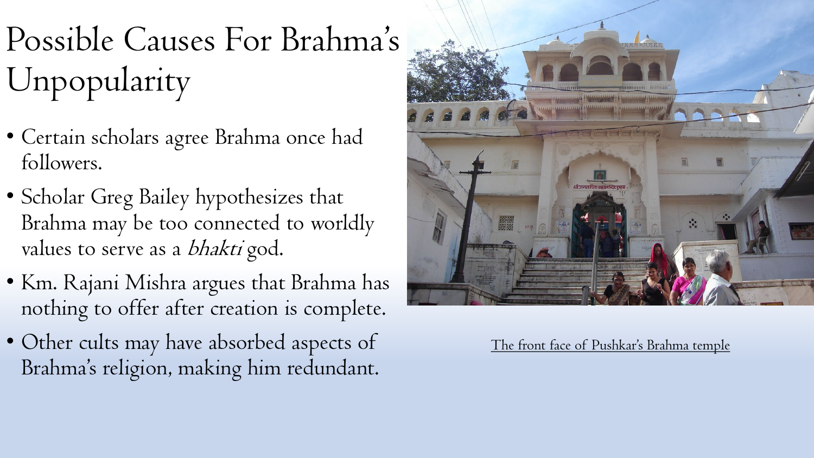# Possible Causes For Brahma's Unpopularity

- Certain scholars agree Brahma once had followers.
- Scholar Greg Bailey hypothesizes that Brahma may be too connected to worldly values to serve as a *bhakti* god.
- Km. Rajani Mishra argues that Brahma has nothing to offer after creation is complete.
- Other cults may have absorbed aspects of Brahma's religion, making him redundant.



#### The front face of Pushkar's Brahma temple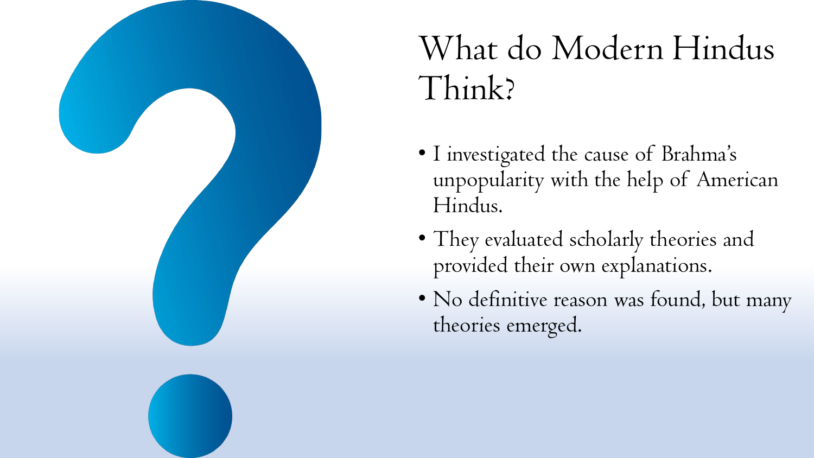

# What do Modern Hindus Think?

- I investigated the cause of Brahma's unpopularity with the help of American Hindus.
- They evaluated scholarly theories and provided their own explanations.
- No definitive reason was found, but many theories emerged.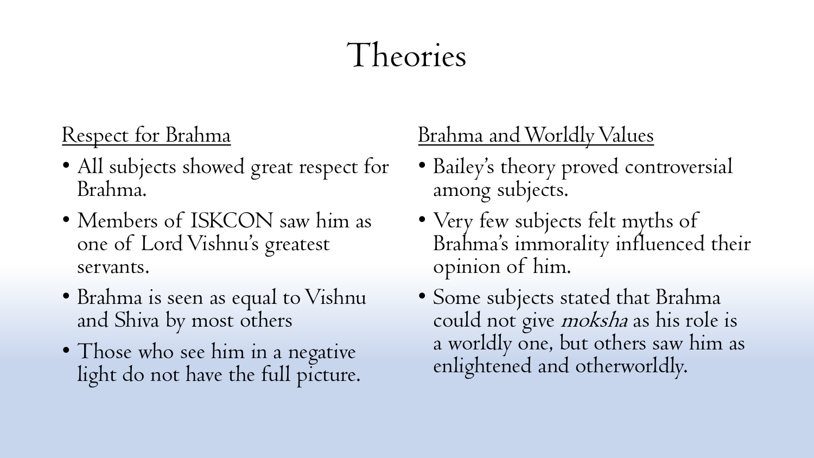## Theories

### Respect for Brahma

- All subjects showed great respect for Brahma.
- Members of ISKCON saw him as one of Lord Vishnu's greatest servants.
- Brahma is seen as equal to Vishnu and Shiva by most others
- Those who see him in a negative light do not have the full picture.

### Brahma and Worldly Values

- Bailey's theory proved controversial among subjects.
- Very few subjects felt myths of Brahma's immorality influenced their opinion of him.
- Some subjects stated that Brahma could not give *moksha* as his role is a worldly one, but others saw him as enlightened and otherworldly.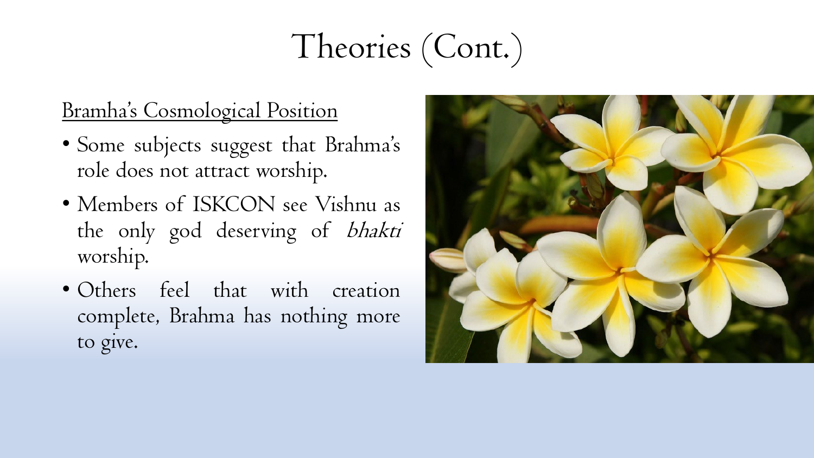# Theories (Cont.)

#### Bramha's Cosmological Position

- Some subjects suggest that Brahma's role does not attract worship.
- Members of ISKCON see Vishnu as the only god deserving of *bhakti* worship.
- Others feel that with creation complete, Brahma has nothing more to give.

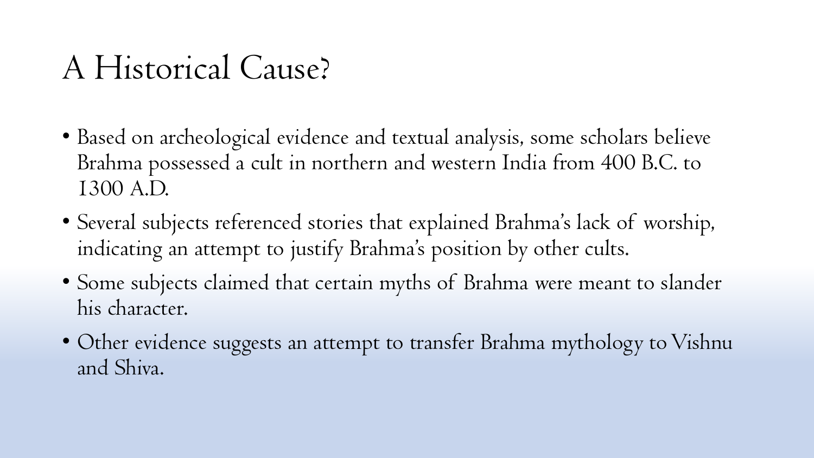### A Historical Cause?

- Based on archeological evidence and textual analysis, some scholars believe Brahma possessed a cult in northern and western India from 400 B.C. to 1300 A.D.
- Several subjects referenced stories that explained Brahma's lack of worship, indicating an attempt to justify Brahma's position by other cults.
- Some subjects claimed that certain myths of Brahma were meant to slander his character.
- Other evidence suggests an attempt to transfer Brahma mythology to Vishnu and Shiva.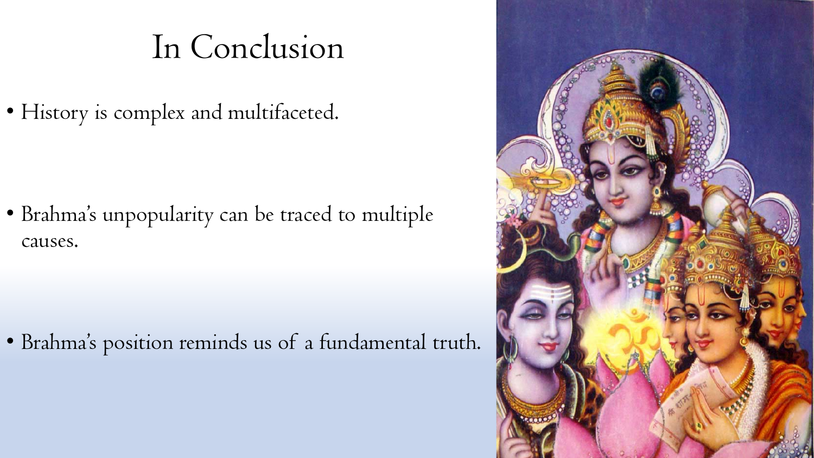### In Conclusion

• History is complex and multifaceted.

• Brahma's unpopularity can be traced to multiple causes.

• Brahma's position reminds us of a fundamental truth.

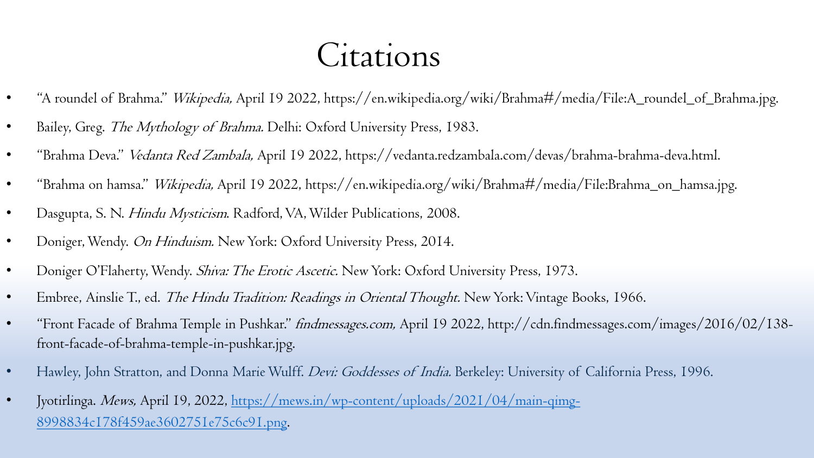### Citations

- "A roundel of Brahma." *Wikipedia,* April 19 2022, https://en.wikipedia.org/wiki/Brahma#/media/File:A\_roundel\_of\_Brahma.jpg.
- Bailey, Greg. The Mythology of Brahma. Delhi: Oxford University Press, 1983.
- "Brahma Deva." Vedanta Red Zambala, April 19 2022, https://vedanta.redzambala.com/devas/brahma-brahma-deva.html.
- "Brahma on hamsa." *Wikipedia,* April 19 2022, https://en.wikipedia.org/wiki/Brahma#/media/File:Brahma\_on\_hamsa.jpg.
- Dasgupta, S. N. Hindu Mysticism. Radford, VA, Wilder Publications, 2008.
- Doniger, Wendy. On Hinduism. New York: Oxford University Press, 2014.
- Doniger O'Flaherty, Wendy. Shiva: The Erotic Ascetic. New York: Oxford University Press, 1973.
- Embree, Ainslie T., ed. *The Hindu Tradition: Readings in Oriental Thought*. New York: Vintage Books, 1966.
- "Front Facade of Brahma Temple in Pushkar." *findmessages.com,* April 19 2022, http://cdn.findmessages.com/images/2016/02/138front-facade-of-brahma-temple-in-pushkar.jpg.
- Hawley, John Stratton, and Donna Marie Wulff. *Devi: Goddesses of India*. Berkeley: University of California Press, 1996.
- Jyotirlinga. Mews, [April 19, 2022, https://mews.in/wp-content/uploads/2021/04/main-qimg-](https://mews.in/wp-content/uploads/2021/04/main-qimg-8998834c178f459ae3602751e75c6c91.png)8998834c178f459ae3602751e75c6c91.png.